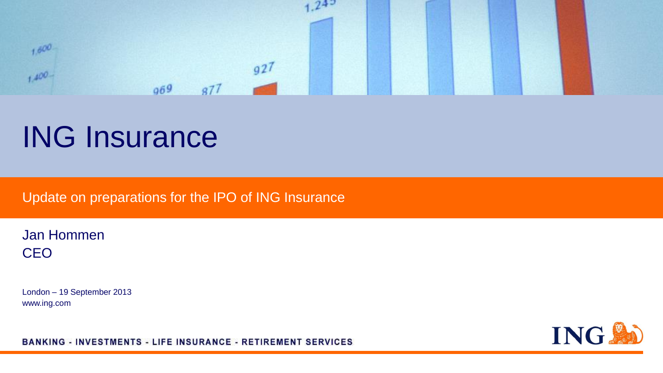

# ING Insurance

Update on preparations for the IPO of ING Insurance

Jan Hommen **CEO** 

London – 19 September 2013 www.ing.com



BANKING - INVESTMENTS - LIFE INSURANCE - RETIREMENT SERVICES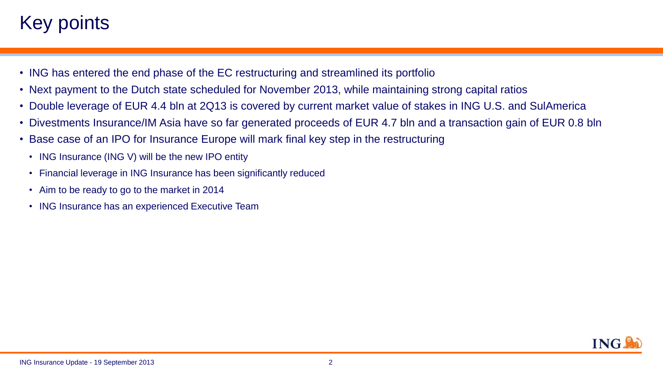## Key points.

- ING has entered the end phase of the EC restructuring and streamlined its portfolio
- Next payment to the Dutch state scheduled for November 2013, while maintaining strong capital ratios
- Double leverage of EUR 4.4 bln at 2Q13 is covered by current market value of stakes in ING U.S. and SulAmerica
- Divestments Insurance/IM Asia have so far generated proceeds of EUR 4.7 bln and a transaction gain of EUR 0.8 bln
- Base case of an IPO for Insurance Europe will mark final key step in the restructuring
	- ING Insurance (ING V) will be the new IPO entity
	- Financial leverage in ING Insurance has been significantly reduced
	- Aim to be ready to go to the market in 2014
	- ING Insurance has an experienced Executive Team

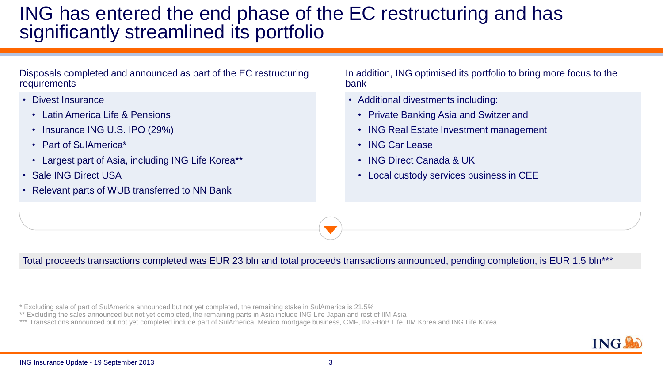#### ING has entered the end phase of the EC restructuring and has significantly streamlined its portfolio

Disposals completed and announced as part of the EC restructuring requirements

- Divest Insurance
	- Latin America Life & Pensions
	- Insurance ING U.S. IPO (29%)
	- Part of SulAmerica\*
	- Largest part of Asia, including ING Life Korea\*\*
- **Sale ING Direct USA**
- Relevant parts of WUB transferred to NN Bank

In addition, ING optimised its portfolio to bring more focus to the bank

- Additional divestments including:
	- Private Banking Asia and Switzerland
	- ING Real Estate Investment management
	- ING Car Lease
	- ING Direct Canada & UK
	- Local custody services business in CEE

Total proceeds transactions completed was EUR 23 bln and total proceeds transactions announced, pending completion, is EUR 1.5 bln\*\*\*

\* Excluding sale of part of SulAmerica announced but not yet completed, the remaining stake in SulAmerica is 21.5%

- \*\* Excluding the sales announced but not yet completed, the remaining parts in Asia include ING Life Japan and rest of IIM Asia
- \*\*\* Transactions announced but not yet completed include part of SulAmerica, Mexico mortgage business, CMF, ING-BoB Life, IIM Korea and ING Life Korea

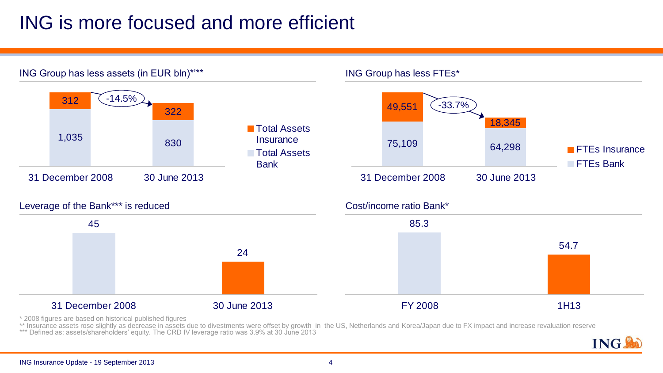# ING is more focused and more efficient



\* 2008 figures are based on historical published figures

\*\* Insurance assets rose slightly as decrease in assets due to divestments were offset by growth in the US, Netherlands and Korea/Japan due to FX impact and increase revaluation reserve

\*\*\* Defined as: assets/shareholders' equity. The CRD IV leverage ratio was 3.9% at 30 June 2013

ING.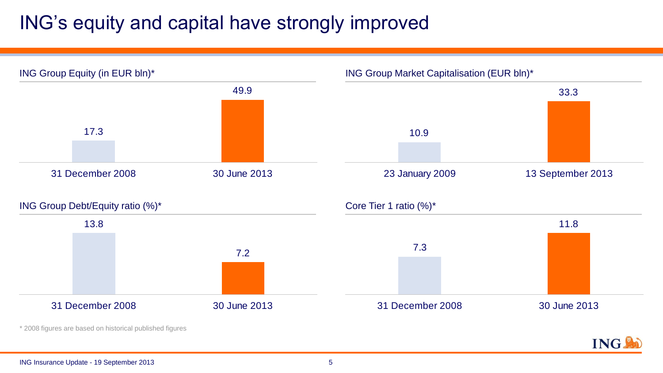# ING's equity and capital have strongly improved

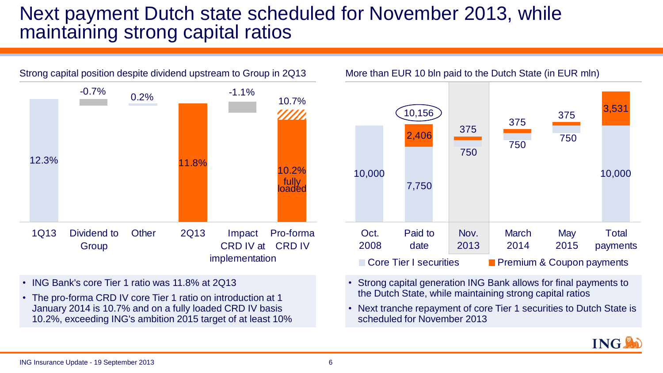#### Next payment Dutch state scheduled for November 2013, while maintaining strong capital ratios





- ING Bank's core Tier 1 ratio was 11.8% at 2Q13
- The pro-forma CRD IV core Tier 1 ratio on introduction at 1 January 2014 is 10.7% and on a fully loaded CRD IV basis 10.2%, exceeding ING's ambition 2015 target of at least 10%
- Strong capital generation ING Bank allows for final payments to the Dutch State, while maintaining strong capital ratios
- Next tranche repayment of core Tier 1 securities to Dutch State is scheduled for November 2013

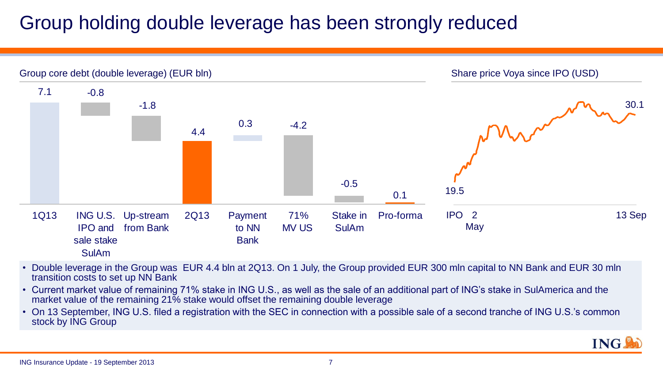### Group holding double leverage has been strongly reduced



- Double leverage in the Group was EUR 4.4 bln at 2Q13. On 1 July, the Group provided EUR 300 mln capital to NN Bank and EUR 30 mln transition costs to set up NN Bank
- Current market value of remaining 71% stake in ING U.S., as well as the sale of an additional part of ING's stake in SulAmerica and the market value of the remaining 21% stake would offset the remaining double leverage
- On 13 September, ING U.S. filed a registration with the SEC in connection with a possible sale of a second tranche of ING U.S.'s common stock by ING Group

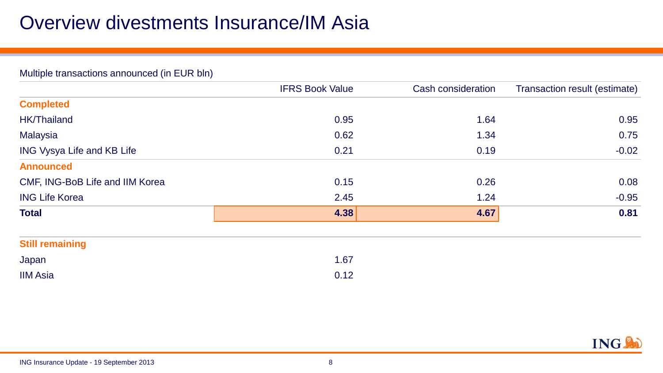### Overview divestments Insurance/IM Asia

| Multiple transactions announced (in EUR bln) |                        |                    |                               |  |  |  |  |  |
|----------------------------------------------|------------------------|--------------------|-------------------------------|--|--|--|--|--|
|                                              | <b>IFRS Book Value</b> | Cash consideration | Transaction result (estimate) |  |  |  |  |  |
| <b>Completed</b>                             |                        |                    |                               |  |  |  |  |  |
| <b>HK/Thailand</b>                           | 0.95                   | 1.64               | 0.95                          |  |  |  |  |  |
| Malaysia                                     | 0.62                   | 1.34               | 0.75                          |  |  |  |  |  |
| <b>ING Vysya Life and KB Life</b>            | 0.21                   | 0.19               | $-0.02$                       |  |  |  |  |  |
| <b>Announced</b>                             |                        |                    |                               |  |  |  |  |  |
| CMF, ING-BoB Life and IIM Korea              | 0.15                   | 0.26               | 0.08                          |  |  |  |  |  |
| <b>ING Life Korea</b>                        | 2.45                   | 1.24               | $-0.95$                       |  |  |  |  |  |
| <b>Total</b>                                 | 4.38                   | 4.67               | 0.81                          |  |  |  |  |  |

| <b>Still remaining</b> |      |
|------------------------|------|
| Japan                  | 1.67 |
| <b>IIM Asia</b>        | 0.12 |

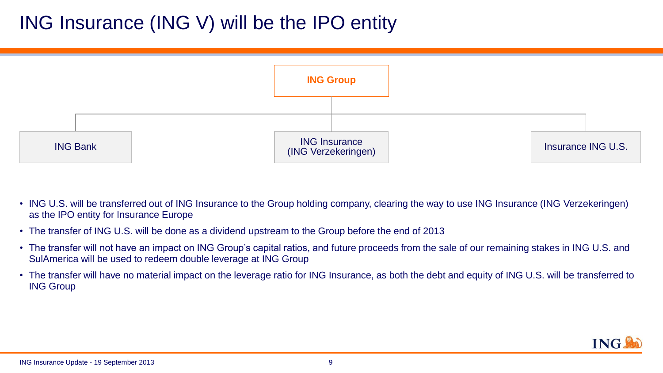### ING Insurance (ING V) will be the IPO entity



- ING U.S. will be transferred out of ING Insurance to the Group holding company, clearing the way to use ING Insurance (ING Verzekeringen) as the IPO entity for Insurance Europe
- The transfer of ING U.S. will be done as a dividend upstream to the Group before the end of 2013
- The transfer will not have an impact on ING Group's capital ratios, and future proceeds from the sale of our remaining stakes in ING U.S. and SulAmerica will be used to redeem double leverage at ING Group
- The transfer will have no material impact on the leverage ratio for ING Insurance, as both the debt and equity of ING U.S. will be transferred to ING Group

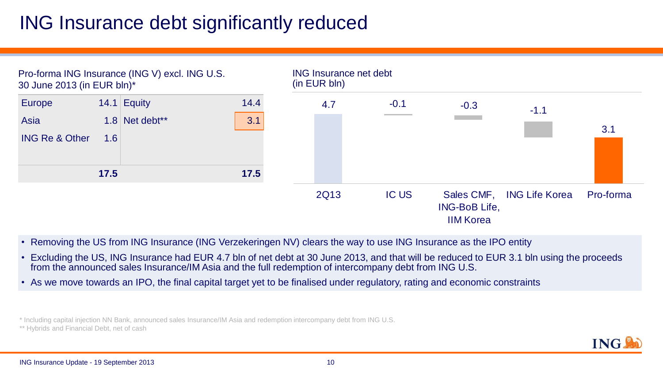#### ING Insurance debt significantly reduced



- Removing the US from ING Insurance (ING Verzekeringen NV) clears the way to use ING Insurance as the IPO entity
- Excluding the US, ING Insurance had EUR 4.7 bln of net debt at 30 June 2013, and that will be reduced to EUR 3.1 bln using the proceeds from the announced sales Insurance/IM Asia and the full redemption of intercompany debt from ING U.S.
- As we move towards an IPO, the final capital target yet to be finalised under regulatory, rating and economic constraints

\* Including capital injection NN Bank, announced sales Insurance/IM Asia and redemption intercompany debt from ING U.S.

\*\* Hybrids and Financial Debt, net of cash

**ING**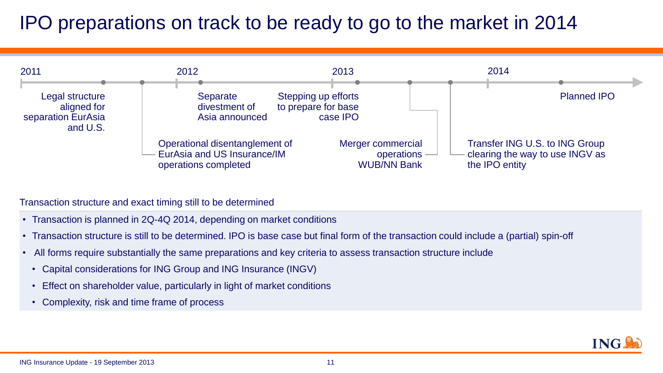# IPO preparations on track to be ready to go to the market in 2014



Transaction structure and exact timing still to be determined

- Transaction is planned in 2Q-4Q 2014, depending on market conditions
- Transaction structure is still to be determined. IPO is base case but final form of the transaction could include a (partial) spin-off
- All forms require substantially the same preparations and key criteria to assess transaction structure include
	- Capital considerations for ING Group and ING Insurance (INGV)
	- Effect on shareholder value, particularly in light of market conditions
	- Complexity, risk and time frame of process

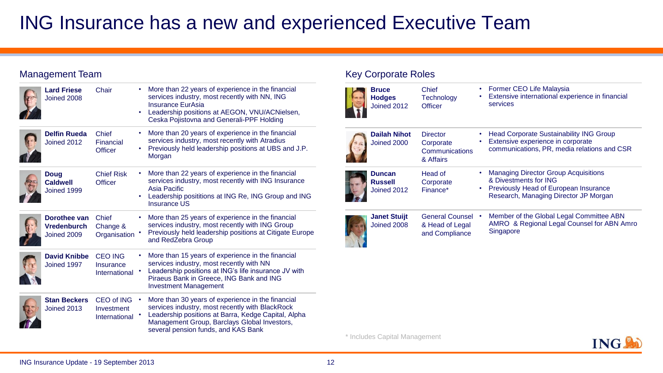#### ING Insurance has a new and experienced Executive Team

#### Management Team

| <b>Lard Friese</b><br>Joined 2008                 | Chair                                            | ٠<br>$\bullet$ | More than 22 years of experience in the financial<br>services industry, most recently with NN, ING<br>Insurance EurAsia<br>Leadership positions at AEGON, VNU/ACNielsen,<br>Ceska Pojistovna and Generali-PPF Holding                              |
|---------------------------------------------------|--------------------------------------------------|----------------|----------------------------------------------------------------------------------------------------------------------------------------------------------------------------------------------------------------------------------------------------|
| <b>Delfin Rueda</b><br>Joined 2012                | Chief<br>Financial<br><b>Officer</b>             | ٠<br>٠         | More than 20 years of experience in the financial<br>services industry, most recently with Atradius<br>Previously held leadership positions at UBS and J.P.<br>Morgan                                                                              |
| Doug<br><b>Caldwell</b><br>Joined 1999            | <b>Chief Risk</b><br><b>Officer</b>              | ٠<br>$\bullet$ | More than 22 years of experience in the financial<br>services industry, most recently with ING Insurance<br>Asia Pacific<br>Leadership posititions at ING Re, ING Group and ING<br><b>Insurance US</b>                                             |
| Dorothee van<br><b>Vredenburch</b><br>Joined 2009 | Chief<br>Change &<br>Organisation                | ٠              | More than 25 years of experience in the financial<br>services industry, most recently with ING Group<br>Previously held leadership positions at Citigate Europe<br>and RedZebra Group                                                              |
| <b>David Knibbe</b><br>Joined 1997                | <b>CEO ING</b><br>Insurance<br>International     | $\bullet$      | More than 15 years of experience in the financial<br>services industry, most recently with NN<br>Leadership positions at ING's life insurance JV with<br>Piraeus Bank in Greece, ING Bank and ING<br><b>Investment Management</b>                  |
| <b>Stan Beckers</b><br>Joined 2013                | <b>CEO of ING</b><br>Investment<br>International | $\bullet$      | More than 30 years of experience in the financial<br>services industry, most recently with BlackRock<br>Leadership positions at Barra, Kedge Capital, Alpha<br>Management Group, Barclays Global Investors,<br>several pension funds, and KAS Bank |

#### Key Corporate Roles

| <b>Bruce</b><br><b>Hodges</b><br>Joined 2012 | Chief<br>Technology<br>Officer                              |           | Former CEO Life Malaysia<br>Extensive international experience in financial<br>services                                                                |
|----------------------------------------------|-------------------------------------------------------------|-----------|--------------------------------------------------------------------------------------------------------------------------------------------------------|
| <b>Dailah Nihot</b><br>Joined 2000           | <b>Director</b><br>Corporate<br>Communications<br>& Affairs |           | <b>Head Corporate Sustainability ING Group</b><br>Extensive experience in corporate<br>communications, PR, media relations and CSR                     |
| Duncan<br><b>Russell</b><br>Joined 2012      | Head of<br>Corporate<br>Finance*                            | $\bullet$ | <b>Managing Director Group Acquisitions</b><br>& Divestments for ING<br>Previously Head of European Insurance<br>Research, Managing Director JP Morgan |
| <b>Janet Stuijt</b><br>Joined 2008           | <b>General Counsel</b><br>& Head of Legal<br>and Compliance |           | Member of the Global Legal Committee ABN<br>AMRO & Regional Legal Counsel for ABN Amro<br>Singapore                                                    |

\* Includes Capital Management